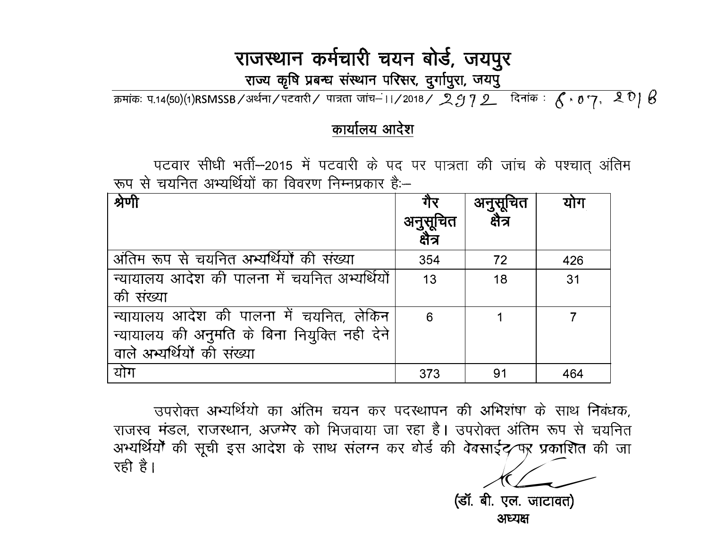# राजस्थान कर्मचारी चयन बोर्ड, जयपुर

राज्य कृषि प्रबन्ध संस्थान परिसर, दुर्गापुरा, जयपु

क्रमांकः प.14(50)(1)RSMSSB/अर्थना/पटवारी/ पात्रता जांच–11/2018/ 2972 दिनांक:  $6.07.201$ 

#### कार्यालय आदेश

पटवार सीधी भर्ती–2015 में पटवारी के पद पर पात्रता की जांच के पश्चात अंतिम रूप से चयनित अभ्यर्थियों का विवरण निम्नप्रकार है:--

| श्रेणी                                       | गर       | अनुसूचित | योग |
|----------------------------------------------|----------|----------|-----|
|                                              | अनुसूचित | क्षेत्र  |     |
|                                              | क्षेत्र  |          |     |
| अंतिम रूप से चयनित अभ्यर्थियों की संख्या     | 354      | 72       | 426 |
| न्यायालय आदेश की पालना में चयनित अम्यर्थियों | 13       | 18       | 31  |
| की संख्या                                    |          |          |     |
| न्यायालय आदेश की पालना में चयनित, लेकिन      | 6        |          |     |
| न्यायालय की अनुमति के बिना नियुक्ति नही देने |          |          |     |
| वाले अभ्यर्थियों की संख्या                   |          |          |     |
| योग                                          | 373      | 91       | 464 |

उपरोक्त अभ्यर्थियो का अंतिम चयन कर पदस्थापन की अभिशंषा के साथ निबंधक, राजस्व मंडल, राजस्थान, अजमेर को भिजवाया जा रहा है। उपरोक्त अंतिम रूप से चयनित अभ्यर्थियों की सूची इस आदेश के साथ संलग्न कर बोर्ड की वेबसाईट⁄ पर प्रकाशित की जा रही है।

(डॉ. बी. एल. जाटावत)

अध्यक्ष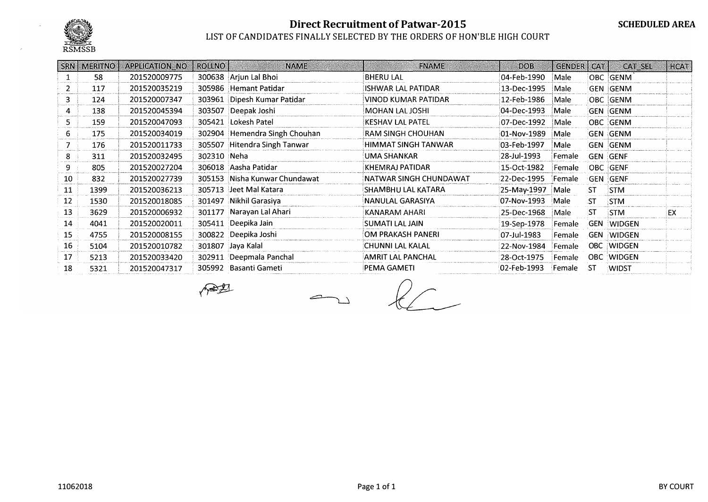

#### LIST OF CANDIDATES FINALLY SELECTED BY THE ORDERS OF HON'BLE HIGH COURT

|    | SRN   MERITNO | <b>APPLICATION NO</b> | <b>ROLLNO</b> | <b>NAME</b>                   | <b>FNAME</b>             | <b>DOB</b>  | <b>GENDER</b> | CAT       | CAT SEL           | <b>HCAT</b> |
|----|---------------|-----------------------|---------------|-------------------------------|--------------------------|-------------|---------------|-----------|-------------------|-------------|
|    | 58            | 201520009775          |               | 300638 Arjun Lal Bhoi         | <b>BHERU LAL</b>         | 04-Feb-1990 | Male          |           | OBC GENM          |             |
|    | 117           | 201520035219          |               | 305986 Hemant Patidar         | ISHWAR LAL PATIDAR       | 13-Dec-1995 | Male          |           | <b>GEN GENM</b>   |             |
| 3  | 124           | 201520007347          |               | 303961 Dipesh Kumar Patidar   | VINOD KUMAR PATIDAR      | 12-Feb-1986 | Male          |           | OBC GENM          |             |
| 4  | 138           | 201520045394          |               | 303507 Deepak Joshi           | MOHAN LAL JOSHI          | 04-Dec-1993 | Male          |           | <b>GEN GENM</b>   |             |
| 5. | 159           | 201520047093          | 305421        | Lokesh Patel                  | <b>KESHAV LAL PATEL</b>  | 07-Dec-1992 | Male          |           | OBC GENM          |             |
| 6. | 175           | 201520034019          |               | 302904 Hemendra Singh Chouhan | RAM SINGH CHOUHAN        | 01-Nov-1989 | Male          |           | <b>GEN GENM</b>   |             |
|    | 176           | 201520011733          |               | 305507 Hitendra Singh Tanwar  | HIMMAT SINGH TANWAR      | 03-Feb-1997 | Male          |           | GEN GENM          |             |
| 8  | 311           | 201520032495          | 302310 Neha   |                               | UMA SHANKAR              | 28-Jul-1993 | Female        |           | <b>GEN GENF</b>   |             |
| 9  | 805           | 201520027204          |               | 306018 Aasha Patidar          | KHEMRAJ PATIDAR          | 15-Oct-1982 | Female        |           | OBC GENF          |             |
| 10 | 832           | 201520027739          |               | 305153 Nisha Kunwar Chundawat | NATWAR SINGH CHUNDAWAT!  | 22-Dec-1995 | Female        |           | Gen Genf          |             |
| 11 | 1399          | 201520036213          |               | 305713 Jeet Mal Katara        | SHAMBHU LAL KATARA       | 25-May-1997 | Male          | <b>ST</b> | <b>STM</b>        |             |
| 12 | 1530          | 201520018085          |               | 301497 Nikhil Garasiya        | NANULAL GARASIYA         | 07-Nov-1993 | Male          | :ST       | <b>STM</b>        |             |
| 13 | 3629          | 201520006932          |               | 301177 Narayan Lal Ahari      | KANARAM AHARI            | 25-Dec-1968 | Male          | <b>ST</b> | <b>STM</b>        | EX          |
| 14 | 4041          | 201520020011          |               | 305411 Deepika Jain           | SUMATI LAL JAIN          | 19-Sep-1978 | Female        |           | <b>GEN WIDGEN</b> |             |
| 15 | 4755          | 201520008155          |               | 300822 Deepika Joshi          | OM PRAKASH PANERI        | 07-Jul-1983 | Female        |           | <b>GEN WIDGEN</b> |             |
| 16 | 5104          | 201520010782          |               | 301807 Jaya Kalal             | CHUNNI LAL KALAL         | 22-Nov-1984 | Female        |           | OBC WIDGEN        |             |
| 17 | 5213          | 201520033420          |               | 302911 Deepmala Panchal       | <b>AMRIT LAL PANCHAL</b> | 28-Oct-1975 | Female        |           | OBC WIDGEN        |             |
| 18 | 5321          | 201520047317          |               | 305992 Basanti Gameti         | PEMA GAMETI              | 02-Feb-1993 | Female        | -ST       | <b>WIDST</b>      |             |

∧₩₹

 $\sim$   $\ell$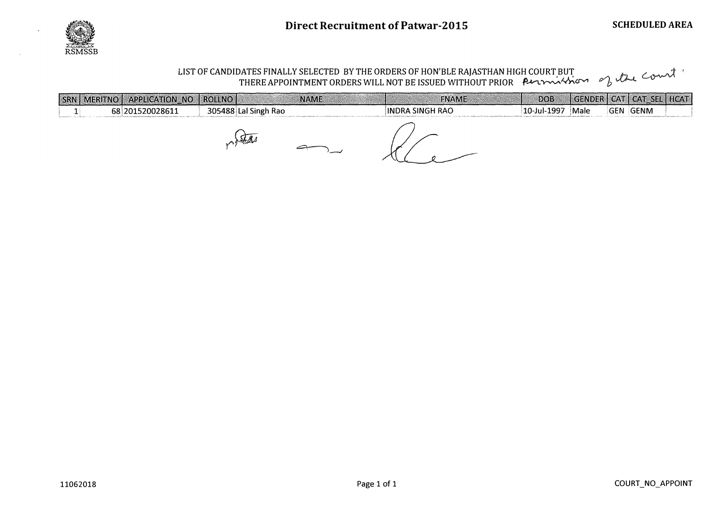

## LIST OF CANDIDATES FINALLY SELECTED BY THE ORDERS OF HON'BLE RAJASTHAN HIGH COURT BUT 0"1 .h . � ' THERE APPOINTMENT ORDERS WILL NOT BE ISSUED WITHOUT PRIOR P....vt. ��CJ'"V'I p \..V-l.

| SRN   MERITNO   APPLICATION_NO   ROLLNO |                      | <b>FNAME</b><br><b>NAME</b> | DO <sub>B</sub> |      | GENDER CAT CAT SEL HCAT |  |
|-----------------------------------------|----------------------|-----------------------------|-----------------|------|-------------------------|--|
| 68 201520028611                         | 305488 Lal Singh Rao | INDRA SINGH RAO             | 10-Jul-1997     | Male | GEN GENM                |  |
|                                         |                      |                             |                 |      |                         |  |

 $m\sqrt{2a}$ 

Kle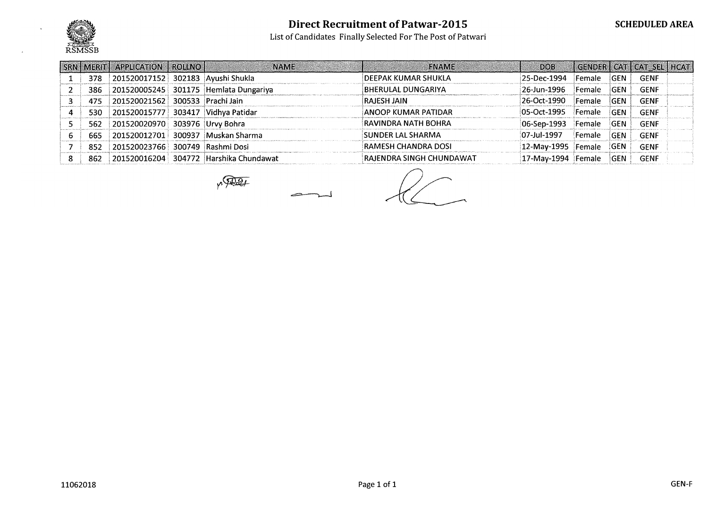

List of Candidates Finally Selected For The Post of Patwari

| <b>SRN MERITI</b> | <b>APPLICATION   ROLLNO  </b>      | <b>NAME</b>                            | <b>FNAME</b>              | <b>DOB</b>   |               |            | GENDER CAT CAT SELLHCAT |  |
|-------------------|------------------------------------|----------------------------------------|---------------------------|--------------|---------------|------------|-------------------------|--|
| 378               | 201520017152 302183 Ayushi Shukla  |                                        | DEEPAK KUMAR SHUKLA       | 25-Dec-1994  | Female        | <b>GEN</b> | GENF                    |  |
| 386               |                                    | 201520005245 301175 Hemlata Dungariya  | BHERULAL DUNGARIYA.       | 26-Jun-1996  | Female        | <b>GEN</b> | <b>GENF</b>             |  |
| 475               | 201520021562 300533 Prachi Jain    |                                        | <b>RAJESH JAIN</b>        | 26-Oct-1990  | Female        | <b>GEN</b> | <b>GENF</b>             |  |
| 530               | 201520015777 303417 Vidhya Patidar |                                        | ANOOP KUMAR PATIDAR       | 05-Oct-1995  | Female        | <b>GEN</b> | <b>GENF</b>             |  |
| 562               | 201520020970 303976 Urvy Bohra     |                                        | RAVINDRA NATH BOHRA       | :06-Sep-1993 | Female        | GEN        | <b>GENF</b>             |  |
| 665               |                                    | 201520012701 300937 Muskan Sharma      | <b>SUNDER LAL SHARMA</b>  | 07-Jul-1997  | Female        | <b>GEN</b> | <b>GENF</b>             |  |
| 852               | 201520023766 300749 Rashmi Dosi    |                                        | RAMESH CHANDRA DOSI       | 12-May-1995  | Female        | <b>GEN</b> | <b>GENF</b>             |  |
| 862               |                                    | 201520016204 304772 Harshika Chundawat | RAJENDRA SINGH CHUNDAWAT! | 17-May-1994  | <b>Female</b> | GEN        | <b>GENF</b>             |  |

p. Det

 $\overbrace{\hspace{1.5cm}}^{}$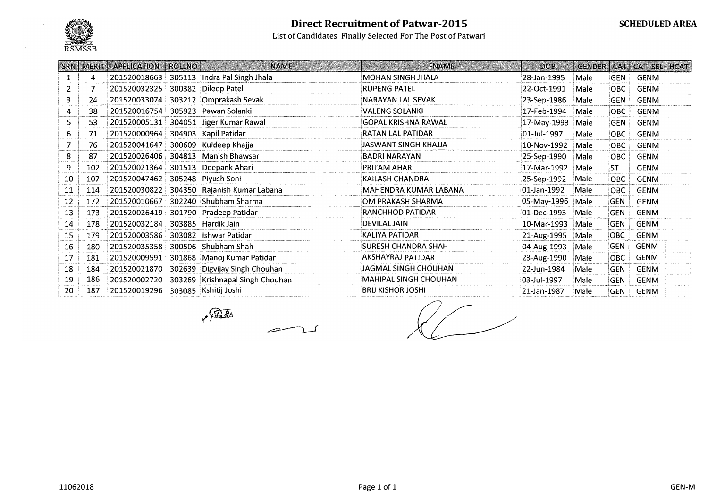

List of Candidates Finally Selected For The Post of Patwari

|    | SRN   MERIT | APPLICATION   ROLLNO |        | <b>NAME</b>                     | <b>FNAME</b>                 | <b>DOB</b>  |      |            | GENDER   CAT   CAT_SEL   HCAT |
|----|-------------|----------------------|--------|---------------------------------|------------------------------|-------------|------|------------|-------------------------------|
|    | 4           | 201520018663         |        | 305113 Indra Pal Singh Jhala    | MOHAN SINGH JHALA            | 28-Jan-1995 | Male | <b>GEN</b> | GENM                          |
|    |             | 201520032325         |        | 300382 Dileep Patel             | <b>RUPENG PATEL</b>          | 22-Oct-1991 | Male | <b>OBC</b> | <b>GENM</b>                   |
| 3. | 24          | 201520033074         |        | 303212 Omprakash Sevak          | NARAYAN LAL SEVAK            | 23-Sep-1986 | Male | <b>GEN</b> | <b>GENM</b>                   |
| 4  | 38          | 201520016754         |        | 305923 Pawan Solanki            | VALENG SOLANKI               | 17-Feb-1994 | Male | <b>OBC</b> | <b>GENM</b>                   |
| 5. | 53          | 201520005131         |        | 304051 Jiger Kumar Rawal        | <b>GOPAL KRISHNA RAWAL</b>   | 17-May-1993 | Male | <b>GEN</b> | <b>GENM</b>                   |
| 6. | 71          | 201520000964         |        | 304903 Kapil Patidar            | <b>RATAN LAL PATIDAR</b>     | 01-Jul-1997 | Male | OBC.       | <b>GENM</b>                   |
|    | 76          | 201520041647         |        | 300609 Kuldeep Khajja           | JASWANT SINGH KHAJJA         | 10-Nov-1992 | Male | OBC        | <b>GENM</b>                   |
| 8  | 87          | 201520026406         |        | 304813 Manish Bhawsar           | <b>BADRI NARAYAN</b>         | 25-Sep-1990 | Male | OBC        | GENM                          |
| 9. | 102         | 201520021364         |        | 301513 Deepank Ahari            | PRITAM AHARI                 | 17-Mar-1992 | Male | <b>ST</b>  | <b>GENM</b>                   |
| 10 | 107         | 201520047462         |        | 305248 Piyush Soni              | KAILASH CHANDRA              | 25-Sep-1992 | Male | OBC        | <b>GENM</b>                   |
| 11 | 114         | 201520030822         |        | 304350 Rajanish Kumar Labana    | MAHENDRA KUMAR LABANA        | 01-Jan-1992 | Male | OBC.       | <b>GENM</b>                   |
| 12 | 172         | 201520010667         |        | 302240 Shubham Sharma           | OM PRAKASH SHARMA            | 05-May-1996 | Male | GEN        | <b>GENM</b>                   |
| 13 | 173         | 201520026419         |        | 301790 Pradeep Patidar          | <b>RANCHHOD PATIDAR</b>      | 01-Dec-1993 | Male | <b>GEN</b> | <b>GENM</b>                   |
| 14 | 178         | 201520032184         |        | 303885 Hardik Jain              | <b>DEVILAL JAIN</b>          | 10-Mar-1993 | Male | GEN        | <b>GENM</b>                   |
| 15 | 179         | 201520003586         |        | 303082 Ishwar Patidar           | KALIYA PATIDAR               | 21-Aug-1995 | Male | OBC        | <b>GENM</b>                   |
| 16 | 180         | 201520035358         |        | 300506 Shubham Shah             | <b>SURESH CHANDRA SHAH</b>   | 04-Aug-1993 | Male | <b>GEN</b> | <b>GENM</b>                   |
| 17 | 181         | 201520009591         |        | 301868   Manoj Kumar Patidar    | AKSHAYRAJ PATIDAR            | 23-Aug-1990 | Male | OBC        | <b>GENM</b>                   |
| 18 | 184         | 201520021870         | 302639 | Digvijay Singh Chouhan          | JAGMAL SINGH CHOUHAN         | 22-Jun-1984 | Male | <b>GEN</b> | <b>GENM</b>                   |
| 19 | 186         | 201520002720         |        | 303269 Krishnapal Singh Chouhan | <b>MAHIPAL SINGH CHOUHAN</b> | 03-Jul-1997 | Male | igen       | <b>GENM</b>                   |
| 20 | 187         | 201520019296         |        | 303085 Kshitij Joshi            | <b>BRIJ KISHOR JOSHI</b>     | 21-Jan-1987 | Male | <b>GEN</b> | GENM                          |

 $\sqrt{220}$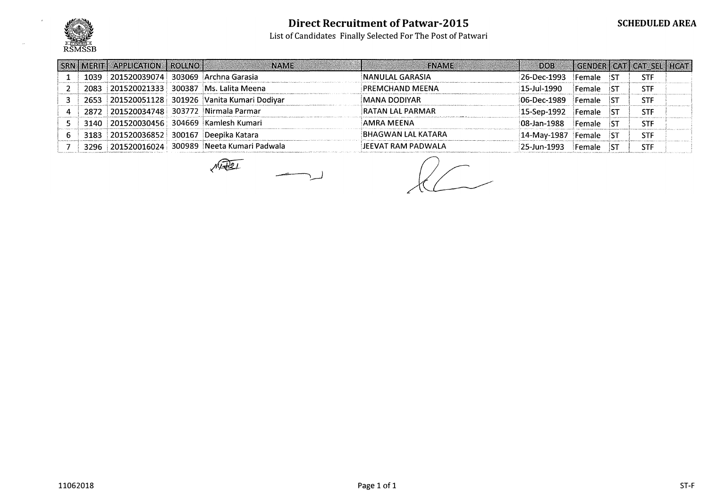

List of Candidates Finally Selected For The Post of Patwari

| <b>ISRN I MERIT I</b> | <b>APPLICATION   ROLLNO  </b>      | <b>NAME</b>                                   | <b>FNAME</b>              | <b>DOB</b>          |        |            | GENDER   CAT   CAT_SEL   HCAT |
|-----------------------|------------------------------------|-----------------------------------------------|---------------------------|---------------------|--------|------------|-------------------------------|
| 1039                  | 201520039074                       | 303069 Archna Garasia                         | NANULAL GARASIA           | 26-Dec-1993         | Female | <b>IST</b> | <b>STF</b>                    |
| 2083                  |                                    | 201520021333   300387   Ms. Lalita Meena      | PREMCHAND MEENA           | 15-Jul-1990         | Female | ist        | <b>STF</b>                    |
| 2653                  |                                    | 201520051128 301926 Vanita Kumari Dodivar     | MANA DODIYAR              | $ 06 - Dec - 1989 $ | Female | ST         | <b>STF</b>                    |
| 2872                  |                                    | 201520034748 303772 Nirmala Parmar            | <b>RATAN LAL PARMAR</b>   | 15-Sep-1992         | Female | ST         | <b>STF</b>                    |
| 3140                  |                                    | 201520030456 304669 Kamlesh Kumari            | AMRA MEENA                | 08-Jan-1988         | Female | IST        | <b>STF</b>                    |
| 3183                  | 201520036852 300167 Deepika Katara |                                               | BHAGWAN LAL KATARA        | 14-May-1987         | Female | 'ST        | <b>STF</b>                    |
|                       |                                    | 3296 201520016024 300989 Neeta Kumari Padwala | <b>JEEVAT RAM PADWALA</b> | 25-Jun-1993         | Female |            | STF                           |

 $M\overline{R}$ 

 $\overline{\phantom{a}}$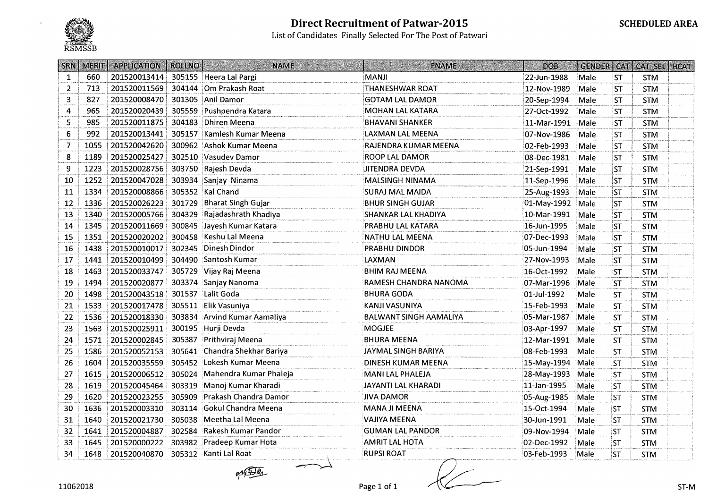

#### Direct Recruitment of Patwar-2015 List of Candidates Finally Selected For The Post of Patwari

| SRN <sub>1</sub> | <b>MERIT</b> | <b>APPLICATION</b>                 | <b>ROLLNO</b> | <b>NAME</b>                   | <b>FNAME</b>                  | <b>DOB</b>  | GENDER CAT |           | CAT_SEL   HCAT |  |
|------------------|--------------|------------------------------------|---------------|-------------------------------|-------------------------------|-------------|------------|-----------|----------------|--|
| $\mathbf{1}$     | 660          | 201520013414                       |               | 305155 Heera Lal Pargi        | <b>MANJI</b>                  | 22-Jun-1988 | Male       | <b>ST</b> | <b>STM</b>     |  |
| $\overline{2}$   | 713          | 201520011569                       |               | 304144 Om Prakash Roat        | <b>THANESHWAR ROAT</b>        | 12-Nov-1989 | Male       | <b>ST</b> | <b>STM</b>     |  |
| $\mathbf{3}$     | 827          | 201520008470                       |               | 301305 Anil Damor             | <b>GOTAM LAL DAMOR</b>        | 20-Sep-1994 | Male       | ST        | <b>STM</b>     |  |
| 4                | 965          | 201520020439                       |               | 305559 Pushpendra Katara      | <b>MOHAN LAL KATARA</b>       | 27-Oct-1992 | Male       | ST        | <b>STM</b>     |  |
| 5                | 985          | 201520011875                       |               | 304183 Dhiren Meena           | <b>BHAVANI SHANKER</b>        | 11-Mar-1991 | Male       | <b>ST</b> | <b>STM</b>     |  |
| 6                | 992          | 201520013441                       | 305157        | Kamlesh Kumar Meena           | <b>LAXMAN LAL MEENA</b>       | 07-Nov-1986 | Male       | ST        | <b>STM</b>     |  |
| 7                | 1055         | 201520042620                       |               | 300962 Ashok Kumar Meena      | RAJENDRA KUMAR MEENA          | 02-Feb-1993 | Male       | <b>ST</b> | <b>STM</b>     |  |
| 8                | 1189         | 201520025427                       |               | 302510 Vasudev Damor          | ROOP LAL DAMOR                | 08-Dec-1981 | Male       | <b>ST</b> | <b>STM</b>     |  |
| 9                | 1223         | 201520028756                       |               | 303750 Rajesh Devda           | <b>JITENDRA DEVDA</b>         | 21-Sep-1991 | Male       | <b>ST</b> | <b>STM</b>     |  |
| 10               | 1252         | 201520047028                       |               | 303934 Sanjay Ninama          | <b>MALSINGH NINAMA</b>        | 11-Sep-1996 | Male       | <b>ST</b> | <b>STM</b>     |  |
| 11               | 1334         | 201520008866                       |               | 305352 Kal Chand              | SURAJ MAL MAIDA               | 25-Aug-1993 | Male       | <b>ST</b> | <b>STM</b>     |  |
| 12               | 1336         | 201520026223                       |               | 301729 Bharat Singh Gujar     | <b>BHUR SINGH GUJAR</b>       | 01-May-1992 | Male       | <b>ST</b> | <b>STM</b>     |  |
| 13               | 1340         | 201520005766                       | 304329        | Rajadashrath Khadiya          | <b>SHANKAR LAL KHADIYA</b>    | 10-Mar-1991 | Male       | ST        | <b>STM</b>     |  |
| 14               | 1345         | 201520011669                       |               | 300845 Jayesh Kumar Katara    | PRABHU LAL KATARA             | 16-Jun-1995 | Male       | ST        | <b>STM</b>     |  |
| 15               | 1351         | 201520020202                       |               | 300458 Keshu Lal Meena        | NATHU LAL MEENA               | 07-Dec-1993 | Male       | <b>ST</b> | <b>STM</b>     |  |
| 16               | 1438         | 201520010017                       |               | 302345 Dinesh Dindor          | PRABHU DINDOR                 | 05-Jun-1994 | Male       | <b>ST</b> | <b>STM</b>     |  |
| 17               | 1441         | 201520010499                       |               | 304490 Santosh Kumar          | LAXMAN                        | 27-Nov-1993 | Male       | <b>ST</b> | <b>STM</b>     |  |
| 18               | 1463         | 201520033747                       |               | 305729 Vijay Raj Meena        | BHIM RAJ MEENA                | 16-Oct-1992 | Male       | ST        | <b>STM</b>     |  |
| 19               | 1494         | 201520020877                       |               | 303374 Sanjay Nanoma          | RAMESH CHANDRA NANOMA         | 07-Mar-1996 | Male       | <b>ST</b> | <b>STM</b>     |  |
| 20               | 1498         | 201520043518                       |               | 301537 Lalit Goda             | <b>BHURA GODA</b>             | 01-Jul-1992 | Male       | <b>ST</b> | <b>STM</b>     |  |
| 21               | 1533         | 201520017478                       |               | 305511 Elik Vasuniya          | KANJI VASUNIYA                | 15-Feb-1993 | Male       | <b>ST</b> | <b>STM</b>     |  |
| 22               | 1536         | 201520018330                       |               | 303834 Arvind Kumar Aamaliya  | <b>BALWANT SINGH AAMALIYA</b> | 05-Mar-1987 | Male       | <b>ST</b> | <b>STM</b>     |  |
| 23               | 1563         | 201520025911                       |               | 300195 Hurji Devda            | <b>MOGJEE</b>                 | 03-Apr-1997 | Male       | <b>ST</b> | <b>STM</b>     |  |
| 24               | 1571         | 201520002845                       | 305387        | Prithviraj Meena              | <b>BHURA MEENA</b>            | 12-Mar-1991 | Male       | <b>ST</b> | <b>STM</b>     |  |
| 25               | 1586         | 201520052153                       |               | 305641 Chandra Shekhar Bariya | JAYMAL SINGH BARIYA           | 08-Feb-1993 | Male       | <b>ST</b> | <b>STM</b>     |  |
| 26               | 1604         | 201520035559                       |               | 305452 Lokesh Kumar Meena     | DINESH KUMAR MEENA            | 15-May-1994 | Male       | 'ST       | <b>STM</b>     |  |
| 27               | 1615         | 201520006512                       |               | 305024 Mahendra Kumar Phaleja | MANI LAL PHALEJA              | 28-May-1993 | Male       | :ST       | <b>STM</b>     |  |
| 28               | 1619         | 201520045464                       | 303319        | Manoj Kumar Kharadi           | JAYANTI LAL KHARADI           | 11-Jan-1995 | Male       | 'ST       | <b>STM</b>     |  |
| 29               | 1620         | 201520023255                       | 305909        | Prakash Chandra Damor         | <b>JIVA DAMOR</b>             | 05-Aug-1985 | Male       | <b>ST</b> | <b>STM</b>     |  |
| 30               | 1636         | 201520003310                       |               | 303114 Gokul Chandra Meena    | <b>MANA JI MEENA</b>          | 15-Oct-1994 | Male       | <b>ST</b> | <b>STM</b>     |  |
| 31               | 1640         | 201520021730                       | 305038        | Meetha Lal Meena              | VAJIYA MEENA                  | 30-Jun-1991 | Male       | 'ST       | <b>STM</b>     |  |
| 32               | 1641         | 201520004887                       |               | 302584 Rakesh Kumar Pandor    | <b>GUMAN LAL PANDOR</b>       | 09-Nov-1994 | Male       | <b>ST</b> | <b>STM</b>     |  |
| 33               | 1645         | 201520000222                       | 303982        | Pradeep Kumar Hota            | AMRIT LAL HOTA                | 02-Dec-1992 | Male       | <b>ST</b> | <b>STM</b>     |  |
| 34               | 1648         | 201520040870 305312 Kanti Lal Roat |               |                               | <b>RUPSI ROAT</b>             | 03-Feb-1993 | Male       | <b>ST</b> | <b>STM</b>     |  |

grader

Page 1 of 1